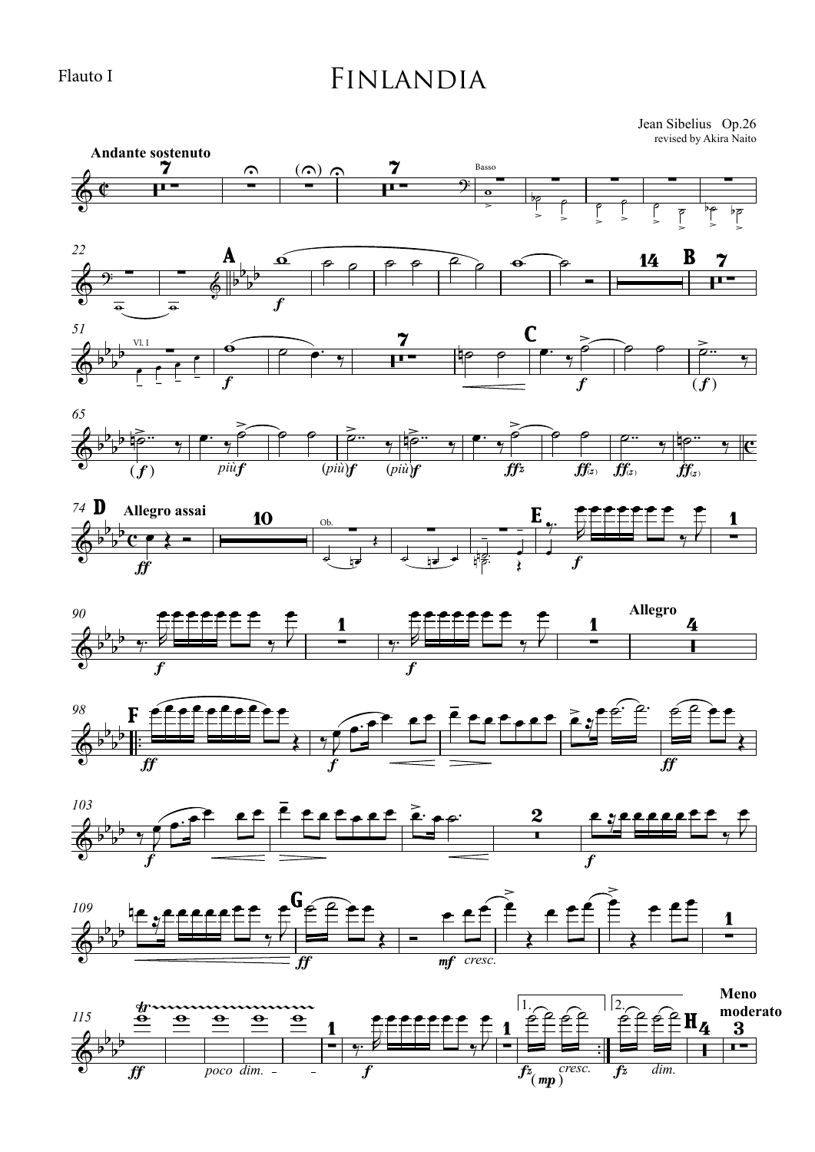Flauto I

## Finlandia

revised by Akira Naito Jean Sibelius Op.26















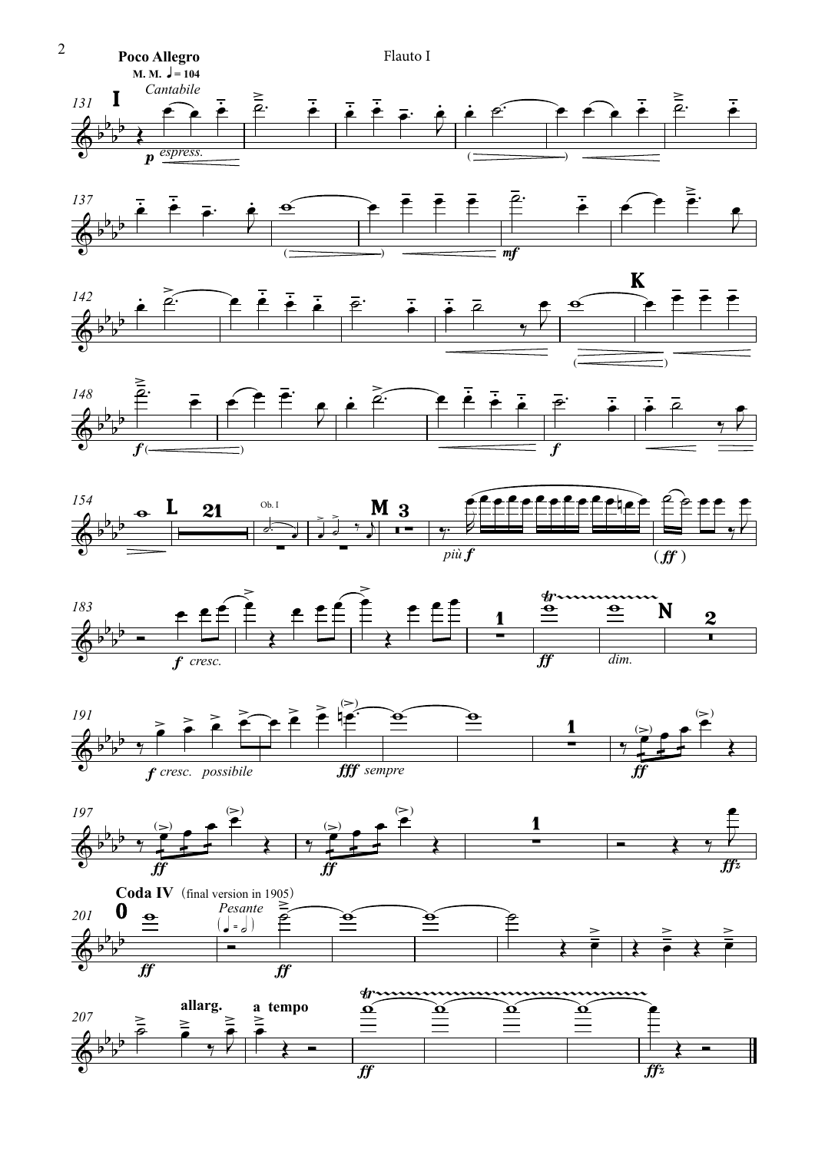